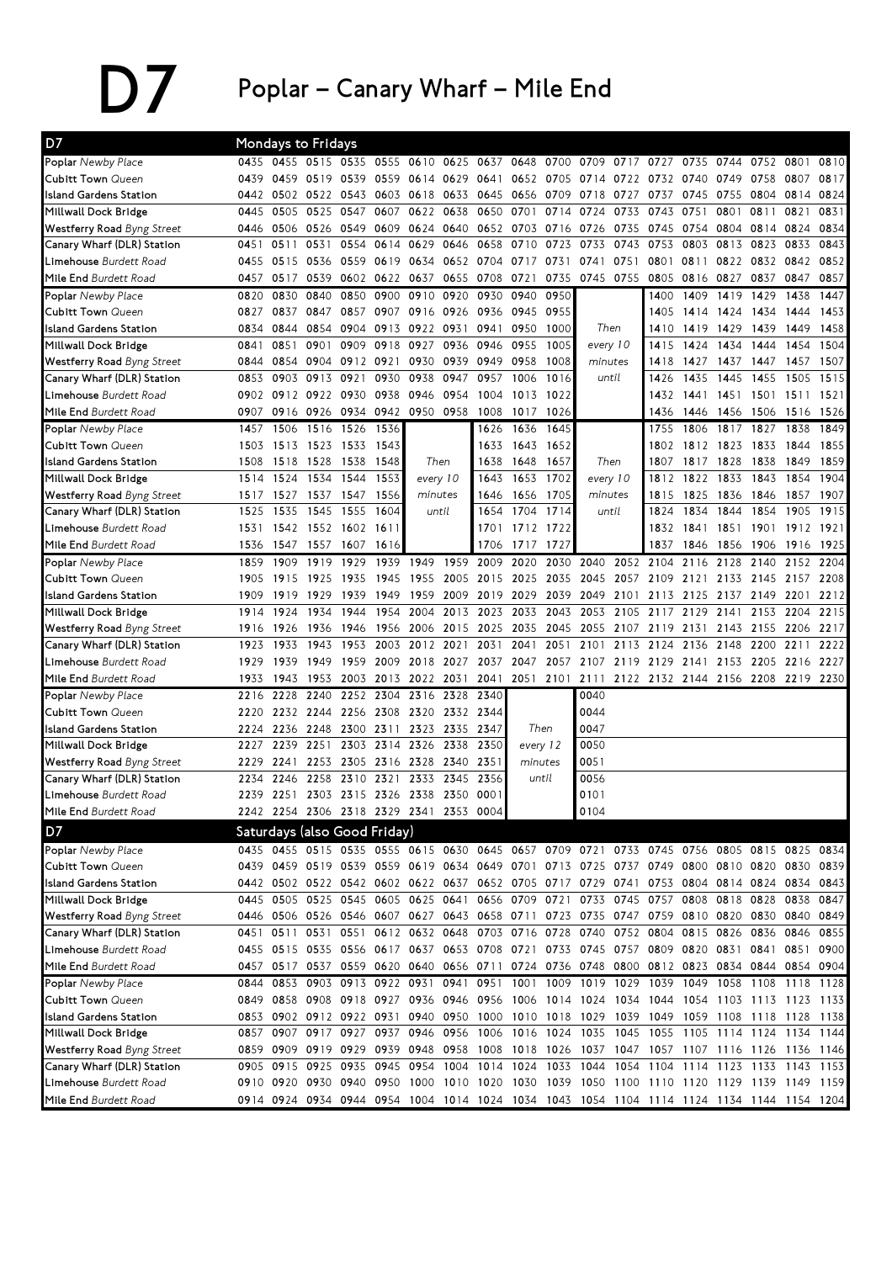## $\sum$  Poplar – Canary Wharf – Mile End

| D7                                                              |              | Mondays to Fridays                      |                     |                          |      |                   |                |                                                                                           |           |                     |                                                                                              |      |                                    |           |                               |                |                |      |
|-----------------------------------------------------------------|--------------|-----------------------------------------|---------------------|--------------------------|------|-------------------|----------------|-------------------------------------------------------------------------------------------|-----------|---------------------|----------------------------------------------------------------------------------------------|------|------------------------------------|-----------|-------------------------------|----------------|----------------|------|
| Poplar Newby Place                                              |              | 0435 0455 0515 0535 0555                |                     |                          |      | 0610              | 0625           | 0637 0648                                                                                 |           | 0700                | 0709                                                                                         | 0717 | 0727                               | 0735      | 0744                          | 0752           | 0801           | 0810 |
| <b>Cubitt Town Queen</b>                                        | 0439         | 0459                                    | 0519                | 0539                     | 0559 | 0614              | 0629           | 0641 0652                                                                                 |           | 0705                | 0714                                                                                         | 0722 | 0732                               | 0740      | 0749                          | 0758           | 0807           | 0817 |
| <b>Island Gardens Station</b>                                   | 0442         |                                         | 0502 0522 0543      |                          | 0603 | 0618              | 0633           |                                                                                           | 0645 0656 | 0709                | 0718                                                                                         | 0727 | 0737                               | 0745      | 0755                          |                | 0804 0814      | 0824 |
| Millwall Dock Bridge                                            | 0445         | 0505                                    | 0525                | 0547                     | 0607 | 0622              | 0638           | 0650                                                                                      | 0701      | 0714                | 0724                                                                                         | 0733 | 0743                               | 0751      | 0801                          | 0811           | 0821           | 0831 |
| Westferry Road Byng Street                                      | 0446         |                                         | 0506 0526 0549      |                          | 0609 | 0624 0640         |                |                                                                                           | 0652 0703 |                     | 0716 0726                                                                                    | 0735 | 0745                               | 0754      | 0804                          |                | 0814 0824      | 0834 |
| Canary Wharf (DLR) Station                                      | 0451         | 0511                                    | 0531                | 0554                     | 0614 | 0629              | 0646           | 0658                                                                                      | 0710      | 0723                | 0733                                                                                         | 0743 | 0753                               | 0803      | 0813                          | 0823           | 0833           | 0843 |
| Limehouse Burdett Road                                          | 0455         | 0515                                    | 0536                | 0559                     | 0619 | 0634              | 0652           | 0704                                                                                      | 0717      | 0731                | 0741                                                                                         | 0751 | 0801                               | 0811      | 0822                          | 0832           | 0842           | 0852 |
| Mile End Burdett Road                                           | 0457         | 0517                                    | 0539                | 0602                     |      | 0622 0637         | 0655           | 0708                                                                                      | 0721      | 0735                | 0745                                                                                         | 0755 | 0805                               | 0816      | 0827                          | 0837           | 0847           | 0857 |
| Poplar Newby Place                                              | 0820         | 0830                                    | 0840                | 0850                     | 0900 | 0910              | 0920           | 0930                                                                                      | 0940      | 0950                |                                                                                              |      | 1400                               | 1409      | 1419                          | 1429           | 1438           | 1447 |
| <b>Cubitt Town Queen</b>                                        | 0827         | 0837                                    | 0847                | 0857                     | 0907 | 0916 0926         |                |                                                                                           | 0936 0945 | 0955                |                                                                                              |      | 1405                               | 1414      | 1424                          | 1434           | 1444           | 1453 |
| <b>Island Gardens Station</b>                                   | 0834         | 0844                                    | 0854                | 0904                     | 0913 | 0922              | 0931           | 0941                                                                                      | 0950      | 1000                | Then                                                                                         |      | 1410                               | 1419      | 1429                          | 1439           | 1449           | 1458 |
| Millwall Dock Bridge                                            | 0841         | 0851                                    | 0901                | 0909                     | 0918 | 0927              | 0936           | 0946                                                                                      | 0955      | 1005                | every 10                                                                                     |      | 1415                               | 1424      | 1434                          | 1444           | 1454           | 1504 |
| Westferry Road Byng Street                                      | 0844         | 0854                                    | 0904                | 0912                     | 0921 | 0930              | 0939           | 0949                                                                                      | 0958      | 1008                | minutes                                                                                      |      | 1418                               | 1427      | 1437                          | 1447           | 1457           | 1507 |
| Canary Wharf (DLR) Station                                      | 0853         | 0903                                    | 0913                | 0921                     | 0930 | 0938              | 0947           | 0957                                                                                      | 1006      | 1016                | until                                                                                        |      | 1426                               | 1435      | 1445                          | 1455           | 1505           | 1515 |
| Limehouse Burdett Road                                          | 0902         |                                         | 0912 0922 0930      |                          | 0938 | 0946              | 0954           | 1004                                                                                      | 1013      | 1022                |                                                                                              |      | 1432                               | 1441      | 1451                          | 1501           | 1511           | 1521 |
| Mile End Burdett Road                                           | 0907         | 0916                                    | 0926                | 0934                     |      | 0942 0950 0958    |                | 1008                                                                                      | 1017      | 1026                |                                                                                              |      | 1436                               | 1446      | 1456                          | 1506           | 1516 1526      |      |
| Poplar Newby Place                                              | 1457         | 1506                                    | 1516                | 1526                     | 1536 |                   |                | 1626                                                                                      | 1636      | 1645                |                                                                                              |      | 1755                               | 1806      | 1817                          | 1827           | 1838           | 1849 |
| <b>Cubitt Town Queen</b>                                        | 1503         | 1513                                    | 1523                | 1533                     | 1543 |                   |                | 1633                                                                                      | 1643      | 1652                |                                                                                              |      | 1802                               | 1812      | 1823                          | 1833           | 1844           | 1855 |
| <b>Island Gardens Station</b>                                   | 1508         |                                         | 1518 1528           | 1538                     | 1548 |                   | Then           | 1638                                                                                      | 1648      | 1657                |                                                                                              | Then | 1807                               |           | 1817 1828                     | 1838           | 1849           | 1859 |
| Millwall Dock Bridge                                            | 1514         |                                         | 1524 1534           | 1544                     | 1553 |                   | every 10       | 1643                                                                                      | 1653      | 1702                | every 10                                                                                     |      |                                    | 1812 1822 | 1833                          | 1843           | 1854           | 1904 |
| Westferry Road Byng Street                                      | 1517         | 1527                                    | 1537 1547           |                          | 1556 | minutes           |                | 1646                                                                                      | 1656      | 1705                | minutes                                                                                      |      | 1815                               | 1825      | 1836                          | 1846           | 1857           | 1907 |
| Canary Wharf (DLR) Station                                      | 1525         | 1535                                    | 1545                | 1555                     | 1604 |                   | until          | 1654                                                                                      | 1704      | 1714                | until                                                                                        |      | 1824                               | 1834      | 1844                          | 1854           | 1905           | 1915 |
| Limehouse Burdett Road                                          | 1531         |                                         | 1542 1552 1602      |                          | 1611 |                   |                |                                                                                           | 1701 1712 | 1722                |                                                                                              |      | 1832                               | 1841      | 1851                          | 1901           | 1912           | 1921 |
| Mile End Burdett Road                                           | 1536         | 1547                                    | 1557 1607           |                          | 1616 |                   |                |                                                                                           | 1706 1717 | 1727                |                                                                                              |      | 1837                               | 1846      | 1856                          | 1906           | 1916           | 1925 |
| Poplar Newby Place                                              | 1859         | 1909                                    | 1919                | 1929                     | 1939 | 1949              | 1959           | 2009                                                                                      | 2020      |                     | 2030 2040                                                                                    | 2052 | 2104                               | 2116      | 2128                          | 2140           | 2152           | 2204 |
| <b>Cubitt Town Queen</b>                                        | 1905         | 1915                                    | 1925                | 1935                     | 1945 | 1955              | 2005           |                                                                                           | 2015 2025 | 2035                | 2045 2057                                                                                    |      | 2109                               | 2121      | 2133                          | 2145           | 2157           | 2208 |
| <b>Island Gardens Station</b>                                   | 1909         | 1919                                    | 1929                | 1939                     | 1949 | 1959              | 2009           | 2019                                                                                      | 2029      | 2039                | 2049                                                                                         | 2101 | 2113                               | 2125      | 2137                          | 2149           | 2201           | 2212 |
| Millwall Dock Bridge                                            | 1914         | 1924                                    | 1934                | 1944                     | 1954 | 2004              | 2013           | 2023                                                                                      | 2033      | 2043                | 2053                                                                                         | 2105 | 2117                               | 2129      | 2141                          | 2153           | 2204           | 2215 |
| <b>Westferry Road Byng Street</b>                               | 1916         | 1926                                    | 1936                | 1946                     | 1956 | 2006              | 2015           | 2025                                                                                      | 2035      | 2045                | 2055                                                                                         | 2107 | 2119                               | 2131      | 2143                          | 2155           | 2206           | 2217 |
| Canary Wharf (DLR) Station                                      | 1923         | 1933                                    | 1943                | 1953                     | 2003 | 2012              | 2021           | 2031                                                                                      | 2041      | 2051                | 2101                                                                                         | 2113 | 2124                               | 2136      | 2148                          | 2200           | 2211           | 2222 |
| Limehouse Burdett Road                                          | 1929         | 1939                                    | 1949                | 1959                     | 2009 | 2018              | 2027           | 2037                                                                                      | 2047      |                     | 2057 2107 2119                                                                               |      | 2129                               | 2141      | 2153                          | 2205           | 2216 2227      |      |
| Mile End Burdett Road                                           | 1933         | 1943                                    | 1953                | 2003                     |      | 2013 2022         | 2031           | 2041                                                                                      | 2051      | 2101                | 2111                                                                                         |      | 2122 2132 2144 2156 2208 2219 2230 |           |                               |                |                |      |
| Poplar Newby Place                                              | 2216         | 2228                                    | 2240                | 2252                     |      | 2304 2316         | 2328           | 2340                                                                                      |           |                     | 0040                                                                                         |      |                                    |           |                               |                |                |      |
| <b>Cubitt Town Queen</b>                                        | 2220         |                                         | 2232 2244           | 2256                     |      | 2308 2320         | 2332 2344      |                                                                                           |           |                     | 0044                                                                                         |      |                                    |           |                               |                |                |      |
| <b>Island Gardens Station</b>                                   | 2224         | 2236                                    | 2248 2300           |                          | 2311 | 2323              | 2335           | 2347                                                                                      |           | Then                | 0047                                                                                         |      |                                    |           |                               |                |                |      |
| Millwall Dock Bridge                                            | 2227<br>2229 | 2239<br>2241                            | 2251<br>2253        | 2303<br>2305             | 2316 | 2314 2326<br>2328 | 2338<br>2340   | 2350<br>2351                                                                              |           | every 12<br>minutes | 0050<br>0051                                                                                 |      |                                    |           |                               |                |                |      |
| <b>Westferry Road Byng Street</b><br>Canary Wharf (DLR) Station | 2234         | 2246                                    | 2258                | 2310                     | 2321 | 2333              | 2345           | 2356                                                                                      |           | until               | 0056                                                                                         |      |                                    |           |                               |                |                |      |
| Limehouse Burdett Road                                          | 2239         | 2251                                    |                     | 2303 2315 2326 2338 2350 |      |                   |                | 0001                                                                                      |           |                     | 0101                                                                                         |      |                                    |           |                               |                |                |      |
| Mile End Burdett Road                                           |              | 2242 2254 2306 2318 2329 2341 2353 0004 |                     |                          |      |                   |                |                                                                                           |           |                     | 0104                                                                                         |      |                                    |           |                               |                |                |      |
|                                                                 |              |                                         |                     |                          |      |                   |                |                                                                                           |           |                     |                                                                                              |      |                                    |           |                               |                |                |      |
| D7                                                              |              | Saturdays (also Good Friday)            |                     |                          |      |                   |                |                                                                                           |           |                     |                                                                                              |      |                                    |           |                               |                |                |      |
| Poplar Newby Place                                              |              |                                         |                     |                          |      |                   |                |                                                                                           |           |                     | 0435 0455 0515 0535 0555 0615 0630 0645 0657 0709 0721 0733 0745 0756 0805 0815 0825 0834    |      |                                    |           |                               |                |                |      |
| Cubitt Town Queen<br><b>Island Gardens Station</b>              |              |                                         |                     |                          |      |                   |                |                                                                                           |           |                     | 0439 0459 0519 0539 0559 0619 0634 0649 0701 0713 0725 0737 0749 0800 0810 0820              |      |                                    |           |                               |                | 0830 0839      |      |
|                                                                 |              | 0442 0502 0522 0542 0602 0622 0637      |                     |                          |      |                   |                |                                                                                           |           |                     | 0652 0705 0717 0729 0741                                                                     |      |                                    |           | 0753 0804 0814 0824 0834 0843 |                |                |      |
| Millwall Dock Bridge                                            | 0445         | 0505                                    | 0525 0545           |                          |      |                   | 0605 0625 0641 | 0446 0506 0526 0546 0607 0627 0643 0658 0711                                              |           |                     | 0656 0709 0721 0733 0745 0757 0808                                                           |      |                                    |           | 0818 0828                     |                | 0838           | 0847 |
| Westferry Road Byng Street<br>Canary Wharf (DLR) Station        |              | 0451 0511                               |                     | 0531 0551 0612 0632 0648 |      |                   |                |                                                                                           |           |                     | 0723 0735 0747 0759 0810 0820 0830 0840 0849<br>0703 0716 0728 0740 0752 0804 0815 0826 0836 |      |                                    |           |                               |                | 0846           | 0855 |
| Limehouse Burdett Road                                          | 0455         |                                         |                     |                          |      |                   |                |                                                                                           |           |                     | 0515 0535 0556 0617 0637 0653 0708 0721 0733 0745 0757 0809 0820                             |      |                                    |           | 0831 0841 0851                |                |                | 0900 |
| Mile End Burdett Road                                           | 0457         | 0517                                    | 0537                |                          |      |                   |                | 0559 0620 0640 0656 0711 0724                                                             |           |                     | 0736 0748 0800 0812 0823                                                                     |      |                                    |           | 0834                          |                | 0844 0854 0904 |      |
| Poplar Newby Place                                              | 0844         | 0853                                    | 0903 0913 0922 0931 |                          |      |                   |                | 0941 0951                                                                                 | 1001      |                     | 1009 1019 1029                                                                               |      | 1039 1049                          |           | 1058                          | 1108 1118 1128 |                |      |
| <b>Cubitt Town Queen</b>                                        | 0849         |                                         |                     |                          |      |                   |                |                                                                                           |           |                     | 0858 0908 0918 0927 0936 0946 0956 1006 1014 1024 1034 1044 1054 1103 1113 1123 1133         |      |                                    |           |                               |                |                |      |
| <b>Island Gardens Station</b>                                   |              |                                         |                     |                          |      |                   |                |                                                                                           |           |                     | 0853 0902 0912 0922 0931 0940 0950 1000 1010 1018 1029 1039 1049 1059 1108 1118 1128 1138    |      |                                    |           |                               |                |                |      |
| Millwall Dock Bridge                                            |              |                                         |                     |                          |      |                   |                |                                                                                           |           |                     | 0857 0907 0917 0927 0937 0946 0956 1006 1016 1024 1035 1045 1055 1105 1114 1124 1134 1144    |      |                                    |           |                               |                |                |      |
| Westferry Road Byng Street                                      |              | 0859 0909 0919 0929 0939 0948 0958      |                     |                          |      |                   |                |                                                                                           |           |                     | 1008 1018 1026 1037 1047 1057 1107 1116 1126 1136 1146                                       |      |                                    |           |                               |                |                |      |
| Canary Wharf (DLR) Station                                      |              | 0905 0915                               | 0925 0935           |                          |      | 0945 0954 1004    |                |                                                                                           | 1014 1024 |                     | 1033 1044                                                                                    |      | 1054 1104 1114 1123 1133 1143 1153 |           |                               |                |                |      |
| Limehouse Burdett Road                                          |              |                                         |                     |                          |      |                   |                |                                                                                           |           |                     | 0910 0920 0930 0940 0950 1000 1010 1020 1030 1039 1050 1100 1110 1120 1129 1139 1149 1159    |      |                                    |           |                               |                |                |      |
| Mile End Burdett Road                                           |              |                                         |                     |                          |      |                   |                | 0914 0924 0934 0944 0954 1004 1014 1024 1034 1043 1054 1104 1114 1124 1134 1144 1154 1204 |           |                     |                                                                                              |      |                                    |           |                               |                |                |      |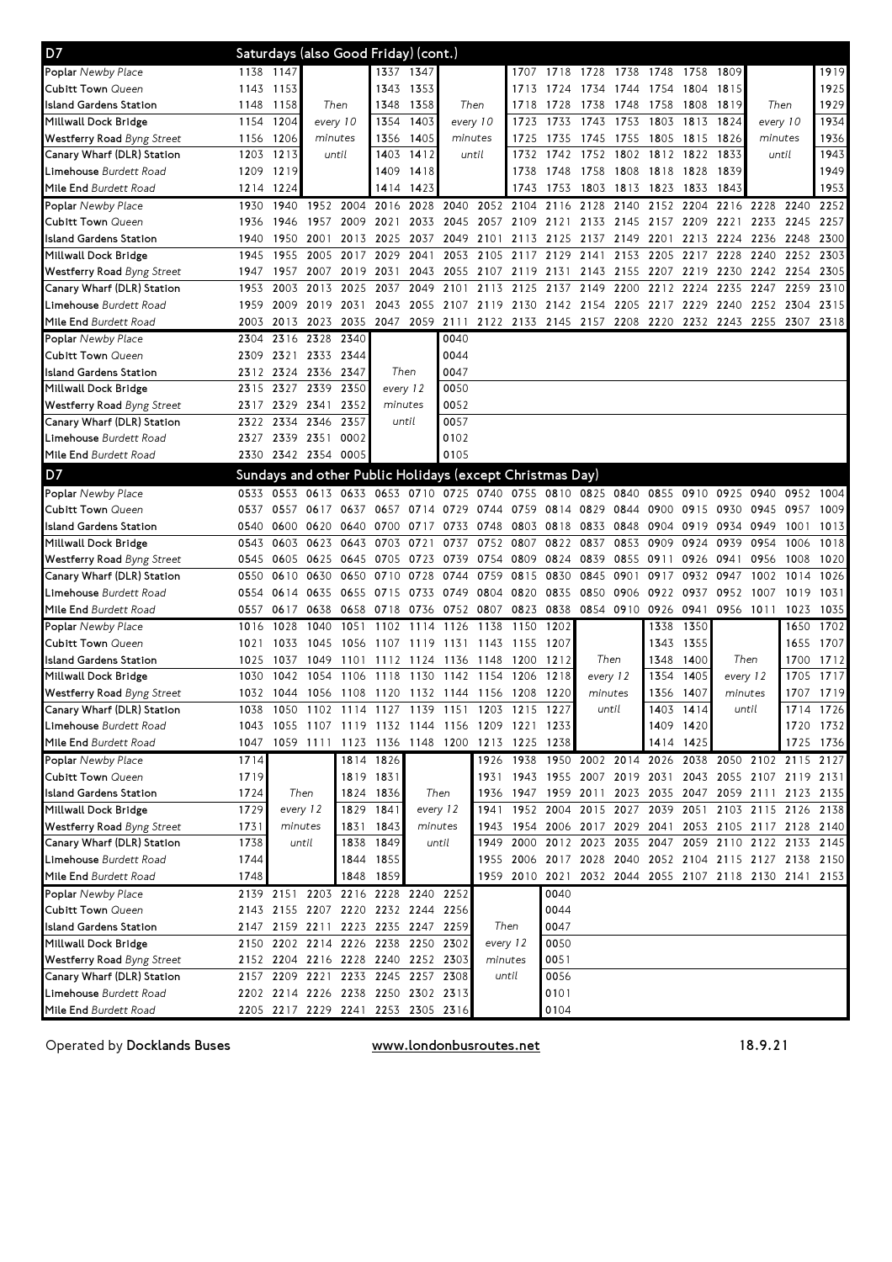| D7                                |      |           |                |           |           | Saturdays (also Good Friday) (cont.) |                                                          |           |           |           |                          |      |           |           |           |                                                        |           |      |
|-----------------------------------|------|-----------|----------------|-----------|-----------|--------------------------------------|----------------------------------------------------------|-----------|-----------|-----------|--------------------------|------|-----------|-----------|-----------|--------------------------------------------------------|-----------|------|
| Poplar Newby Place                | 1138 | 1147      |                |           |           | 1337 1347                            |                                                          |           |           |           | 1707 1718 1728 1738 1748 |      |           | 1758      | 1809      |                                                        |           | 1919 |
| Cubitt Town Queen                 | 1143 | 1153      |                |           |           | 1343 1353                            |                                                          |           | 1713      | 1724      | 1734                     | 1744 | 1754      | 1804      | 1815      |                                                        |           | 1925 |
| Island Gardens Station            | 1148 | 1158      | Then           |           | 1348      | 1358                                 |                                                          | Then      | 1718      | 1728      | 1738                     | 1748 | 1758      | 1808      | 1819      | Then                                                   |           | 1929 |
| Millwall Dock Bridge              | 1154 | 1204      | every 10       |           | 1354      | 1403                                 | every 10                                                 |           | 1723      | 1733      | 1743                     | 1753 | 1803      | 1813      | 1824      | every 10                                               |           | 1934 |
| <b>Westferry Road</b> Byng Street | 1156 | 1206      | minutes        |           | 1356      | 1405                                 | minutes                                                  |           | 1725      | 1735      | 1745                     | 1755 | 1805      | 1815      | 1826      | minutes                                                |           | 1936 |
| Canary Wharf (DLR) Station        | 1203 | 1213      | until          |           | 1403      | 1412                                 |                                                          | until     | 1732      | 1742      | 1752                     | 1802 | 1812      | 1822      | 1833      | until                                                  |           | 1943 |
| Limehouse Burdett Road            | 1209 | 1219      |                |           | 1409      | 1418                                 |                                                          |           | 1738      | 1748      | 1758 1808                |      | 1818 1828 |           | 1839      |                                                        |           | 1949 |
| Mile End Burdett Road             | 1214 | 1224      |                |           |           | 1414 1423                            |                                                          |           | 1743      | 1753      | 1803 1813                |      | 1823      | 1833      | 1843      |                                                        |           | 1953 |
| Poplar Newby Place                | 1930 | 1940      |                | 1952 2004 | 2016      | 2028                                 | 2040                                                     |           | 2052 2104 | 2116      | 2128                     | 2140 | 2152      | 2204      | 2216      | 2228                                                   | 2240      | 2252 |
| Cubitt Town Queen                 | 1936 | 1946      | 1957           | 2009      | 2021      | 2033                                 | 2045                                                     | 2057 2109 |           | 2121      | 2133                     | 2145 | 2157      | 2209      | 2221      | 2233                                                   | 2245      | 2257 |
| Island Gardens Station            | 1940 | 1950      | 2001           | 2013      | 2025      | 2037                                 | 2049                                                     | 2101      | 2113      | 2125      | 2137                     | 2149 | 2201      | 2213      | 2224      | 2236                                                   | 2248      | 2300 |
| Millwall Dock Bridge              | 1945 | 1955      | 2005           | 2017      | 2029      | 2041                                 | 2053                                                     | 2105      | 2117      | 2129      | 2141                     | 2153 | 2205      | 2217      | 2228      | 2240                                                   | 2252      | 2303 |
| <b>Westferry Road</b> Byng Street | 1947 | 1957      | 2007           | 2019      | 2031      | 2043                                 | 2055                                                     | 2107      | 2119      | 2131      | 2143 2155                |      | 2207      | 2219      | 2230      | 2242 2254                                              |           | 2305 |
| Canary Wharf (DLR) Station        | 1953 | 2003      | 2013 2025      |           | 2037      | 2049                                 | 2101                                                     |           | 2113 2125 | 2137      | 2149                     | 2200 | 2212      | 2224      | 2235      | 2247                                                   | 2259      | 2310 |
| Limehouse Burdett Road            | 1959 | 2009      | 2019 2031      |           |           |                                      | 2043 2055 2107 2119 2130                                 |           |           |           | 2142 2154 2205           |      | 2217      | 2229      |           | 2240 2252 2304                                         |           | 2315 |
| Mile End Burdett Road             | 2003 | 2013      | 2023 2035      |           |           | 2047 2059 2111                       |                                                          |           |           |           |                          |      |           |           |           | 2122 2133 2145 2157 2208 2220 2232 2243 2255 2307 2318 |           |      |
| Poplar Newby Place                | 2304 |           | 2316 2328 2340 |           |           |                                      | 0040                                                     |           |           |           |                          |      |           |           |           |                                                        |           |      |
| <b>Cubitt Town Queen</b>          | 2309 | 2321      | 2333 2344      |           |           |                                      | 0044                                                     |           |           |           |                          |      |           |           |           |                                                        |           |      |
| Island Gardens Station            | 2312 | 2324      | 2336 2347      |           |           | Then                                 | 0047                                                     |           |           |           |                          |      |           |           |           |                                                        |           |      |
| Millwall Dock Bridge              | 2315 | 2327      | 2339           | 2350      |           | every 12                             | 0050                                                     |           |           |           |                          |      |           |           |           |                                                        |           |      |
| <b>Westferry Road</b> Byng Street | 2317 | 2329      | 2341           | 2352      |           | minutes                              | 0052                                                     |           |           |           |                          |      |           |           |           |                                                        |           |      |
| Canary Wharf (DLR) Station        | 2322 | 2334      | 2346           | 2357      |           | until                                | 0057                                                     |           |           |           |                          |      |           |           |           |                                                        |           |      |
| Limehouse Burdett Road            | 2327 |           | 2339 2351      | 0002      |           |                                      | 0102                                                     |           |           |           |                          |      |           |           |           |                                                        |           |      |
| Mile End Burdett Road             | 2330 |           | 2342 2354 0005 |           |           |                                      | 0105                                                     |           |           |           |                          |      |           |           |           |                                                        |           |      |
| D7                                |      |           |                |           |           |                                      | Sundays and other Public Holidays (except Christmas Day) |           |           |           |                          |      |           |           |           |                                                        |           |      |
| Poplar Newby Place                | 0533 | 0553      | 0613 0633      |           | 0653      | 0710                                 | 0725                                                     | 0740      |           |           | 0755 0810 0825 0840      |      | 0855      | 0910      | 0925      | 0940                                                   | 0952      | 1004 |
| Cubitt Town Queen                 | 0537 | 0557      | 0617           | 0637      | 0657      | 0714                                 | 0729                                                     | 0744      | 0759      | 0814 0829 |                          | 0844 | 0900      | 0915      | 0930      | 0945                                                   | 0957      | 1009 |
| Island Gardens Station            | 0540 | 0600      | 0620 0640      |           | 0700      | 0717                                 | 0733                                                     | 0748      | 0803      | 0818      | 0833                     | 0848 | 0904      | 0919      | 0934      | 0949                                                   | 1001      | 1013 |
| Millwall Dock Bridge              | 0543 | 0603      | 0623           | 0643      | 0703      | 0721                                 | 0737                                                     | 0752      | 0807      | 0822      | 0837                     | 0853 | 0909      | 0924      | 0939      | 0954                                                   | 1006      | 1018 |
| <b>Westferry Road</b> Byng Street | 0545 | 0605      | 0625 0645      |           | 0705      | 0723                                 | 0739                                                     | 0754 0809 |           | 0824      | 0839                     | 0855 | 0911      | 0926      | 0941      | 0956                                                   | 1008      | 1020 |
| Canary Wharf (DLR) Station        | 0550 | 0610      | 0630           | 0650      | 0710      | 0728                                 | 0744                                                     | 0759      | 0815      | 0830      | 0845                     | 0901 | 0917      | 0932      | 0947      | 1002                                                   | 1014      | 1026 |
| Limehouse Burdett Road            | 0554 | 0614      | 0635           | 0655      | 0715      | 0733 0749                            |                                                          | 0804 0820 |           | 0835      | 0850                     | 0906 | 0922 0937 |           | 0952      | 1007                                                   | 1019      | 1031 |
| Mile End Burdett Road             | 0557 | 0617      |                | 0638 0658 |           |                                      | 0718 0736 0752 0807 0823                                 |           |           | 0838      | 0854 0910 0926           |      |           | 0941      | 0956 1011 |                                                        | 1023      | 1035 |
| Poplar Newby Place                | 1016 | 1028      | 1040           | 1051      | 1102      | 1114                                 | 1126                                                     | 1138      | 1150      | 1202      |                          |      | 1338      | 1350      |           |                                                        | 1650      | 1702 |
| Cubitt Town Queen                 | 1021 | 1033      | 1045           | 1056      | 1107      | 1119                                 | 1131                                                     | 1143 1155 |           | 1207      |                          |      | 1343      | 1355      |           |                                                        | 1655      | 1707 |
| Island Gardens Station            | 1025 | 1037      | 1049           | 1101      |           | 1112 1124 1136                       |                                                          | 1148      | 1200      | 1212      | Then                     |      | 1348      | 1400      | Then      |                                                        | 1700      | 1712 |
| Millwall Dock Bridge              | 1030 | 1042      | 1054           | 1106      | 1118      | 1130                                 | 1142                                                     | 1154      | 1206      | 1218      | every 12                 |      | 1354      | 1405      | every 12  |                                                        | 1705      | 1717 |
| <b>Westferry Road</b> Byng Street | 1032 | 1044      |                | 1056 1108 |           |                                      | 1120 1132 1144 1156 1208                                 |           |           | 1220      | minutes                  |      | 1356      | 1407      | minutes   |                                                        | 1707      | 1719 |
| Canary Wharf (DLR) Station        | 1038 | 1050      |                |           |           | 1102 1114 1127 1139 1151             |                                                          |           | 1203 1215 | 1227      | until                    |      | 1403      | 1414      | until     |                                                        | 1714 1726 |      |
| Limehouse Burdett Road            |      |           |                |           |           |                                      | 1043 1055 1107 1119 1132 1144 1156 1209 1221 1233        |           |           |           |                          |      |           | 1409 1420 |           |                                                        | 1720 1732 |      |
| Mile End Burdett Road             | 1047 |           |                |           |           |                                      | 1059 1111 1123 1136 1148 1200 1213 1225 1238             |           |           |           |                          |      |           | 1414 1425 |           |                                                        | 1725 1736 |      |
| Poplar Newby Place                | 1714 |           |                |           | 1814 1826 |                                      |                                                          |           |           |           |                          |      |           |           |           | 1926 1938 1950 2002 2014 2026 2038 2050 2102 2115 2127 |           |      |
| Cubitt Town Queen                 | 1719 |           |                |           | 1819 1831 |                                      |                                                          |           |           |           |                          |      |           |           |           | 1931 1943 1955 2007 2019 2031 2043 2055 2107 2119 2131 |           |      |
| Island Gardens Station            | 1724 |           | Then           | 1824      | 1836      |                                      | Then                                                     |           | 1936 1947 |           | 1959 2011                |      |           |           |           | 2023 2035 2047 2059 2111 2123 2135                     |           |      |
| Millwall Dock Bridge              | 1729 |           | every 12       | 1829      | 1841      |                                      | every 12                                                 |           |           |           |                          |      |           |           |           | 1941 1952 2004 2015 2027 2039 2051 2103 2115 2126 2138 |           |      |
| Westferry Road Byng Street        | 1731 | minutes   |                | 1831      | 1843      |                                      | minutes                                                  |           |           |           |                          |      |           |           |           | 1943 1954 2006 2017 2029 2041 2053 2105 2117 2128 2140 |           |      |
| Canary Wharf (DLR) Station        | 1738 |           | until          | 1838      | 1849      |                                      | until                                                    |           |           |           |                          |      |           |           |           | 1949 2000 2012 2023 2035 2047 2059 2110 2122 2133 2145 |           |      |
| <b>Limehouse</b> Burdett Road     | 1744 |           |                |           | 1844 1855 |                                      |                                                          |           |           |           |                          |      |           |           |           | 1955 2006 2017 2028 2040 2052 2104 2115 2127 2138 2150 |           |      |
| Mile End Burdett Road             | 1748 |           |                | 1848      | 1859      |                                      |                                                          |           |           |           |                          |      |           |           |           | 1959 2010 2021 2032 2044 2055 2107 2118 2130 2141 2153 |           |      |
| Poplar Newby Place                |      | 2139 2151 |                |           |           | 2203 2216 2228 2240 2252             |                                                          |           |           | 0040      |                          |      |           |           |           |                                                        |           |      |
| Cubitt Town Queen                 |      |           |                |           |           | 2143 2155 2207 2220 2232 2244 2256   |                                                          |           |           | 0044      |                          |      |           |           |           |                                                        |           |      |
| sland Gardens Station             |      |           |                |           |           | 2147 2159 2211 2223 2235 2247 2259   |                                                          |           | Then      | 0047      |                          |      |           |           |           |                                                        |           |      |
| Millwall Dock Bridge              |      |           |                |           |           | 2150 2202 2214 2226 2238 2250 2302   |                                                          | every 12  |           | 0050      |                          |      |           |           |           |                                                        |           |      |
| Westferry Road Byng Street        |      |           |                |           |           | 2152 2204 2216 2228 2240 2252 2303   |                                                          | minutes   |           | 0051      |                          |      |           |           |           |                                                        |           |      |
| Canary Wharf (DLR) Station        |      |           |                |           |           | 2157 2209 2221 2233 2245 2257 2308   |                                                          |           | until     | 0056      |                          |      |           |           |           |                                                        |           |      |
| Limehouse Burdett Road            |      |           |                |           |           | 2202 2214 2226 2238 2250 2302 2313   |                                                          |           |           | 0101      |                          |      |           |           |           |                                                        |           |      |
| Mile End Burdett Road             |      |           |                |           |           | 2205 2217 2229 2241 2253 2305 2316   |                                                          |           |           | 0104      |                          |      |           |           |           |                                                        |           |      |

Operated by Docklands Buses

www.londonbusroutes.net 18.9.21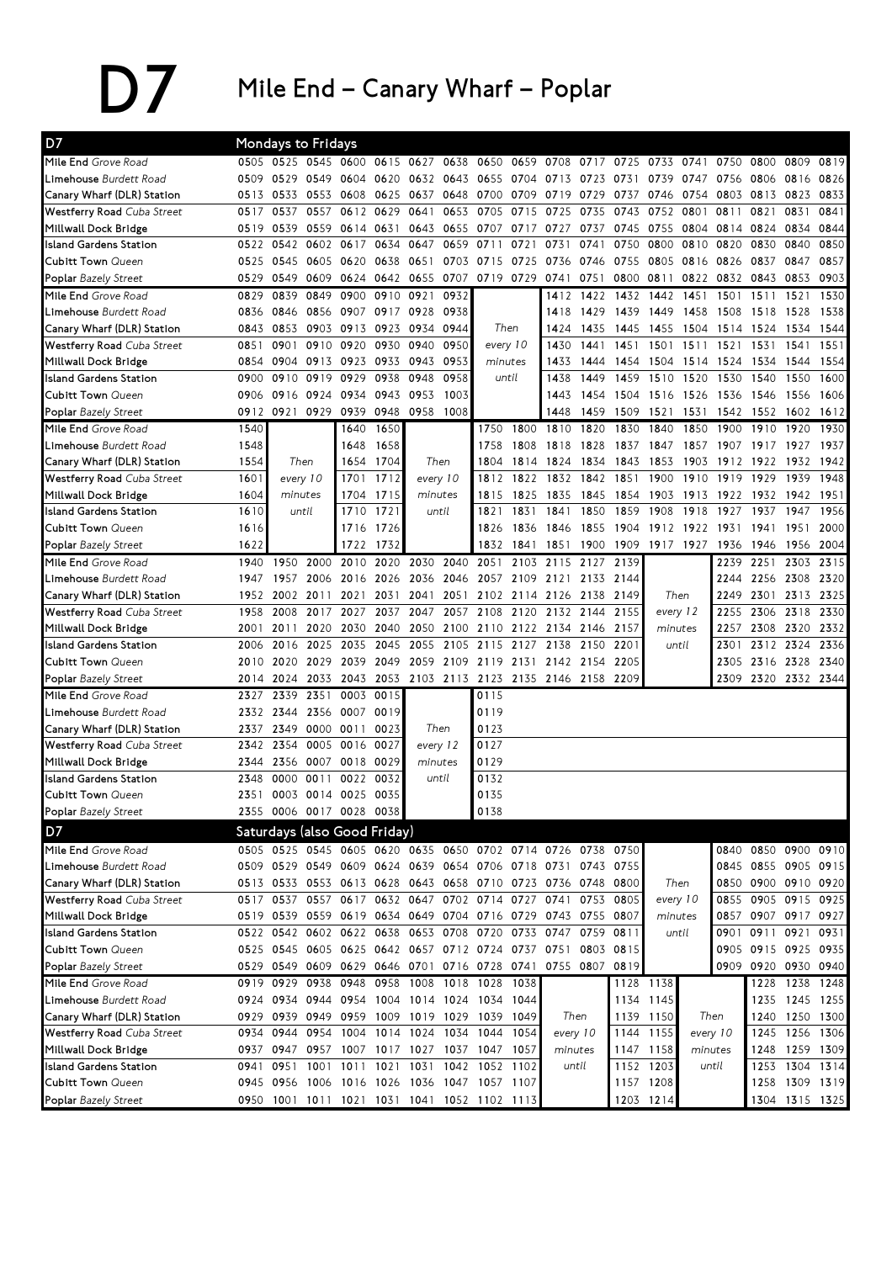D7 Mile End – Canary Wharf – Poplar

| D7                                |      | Mondays to Fridays |                     |                                    |                |           |                |                                                             |           |                          |                |           |                  |          |       |                     |                |           |
|-----------------------------------|------|--------------------|---------------------|------------------------------------|----------------|-----------|----------------|-------------------------------------------------------------|-----------|--------------------------|----------------|-----------|------------------|----------|-------|---------------------|----------------|-----------|
| Mile End Grove Road               |      |                    | 0505 0525 0545 0600 |                                    |                | 0615 0627 | 0638           | 0650                                                        | 0659 0708 |                          | 0717           | 0725      | 0733             | 0741     | 0750  | 0800                | 0809           | 0819      |
| Limehouse Burdett Road            | 0509 | 0529               | 0549 0604           |                                    | 0620           | 0632      | 0643           | 0655 0704                                                   |           | 0713                     | 0723           | 0731      | 0739             | 0747     | 0756  | 0806                | 0816           | 0826      |
| Canary Wharf (DLR) Station        | 0513 | 0533               | 0553 0608           |                                    | 0625           | 0637      | 0648           | 0700                                                        | 0709      | 0719                     | 0729           | 0737      | 0746             | 0754     | 0803  | 0813                | 0823           | 0833      |
| Westferry Road Cuba Street        | 0517 | 0537               | 0557                | 0612                               | 0629           | 0641      | 0653           | 0705                                                        | 0715      | 0725                     | 0735           | 0743      | 0752             | 0801     | 0811  | 0821                | 0831           | 0841      |
| Millwall Dock Bridge              | 0519 | 0539               | 0559                | 0614 0631                          |                | 0643      | 0655           | 0707                                                        | 0717      | 0727                     | 0737           | 0745      | 0755             | 0804     | 0814  | 0824                | 0834           | 0844      |
| <b>Island Gardens Station</b>     | 0522 | 0542               | 0602                | 0617                               | 0634           | 0647      | 0659           | 0711                                                        | 0721      | 0731                     | 0741           | 0750      | 0800             | 0810     | 0820  | 0830                | 0840           | 0850      |
| <b>Cubitt Town Queen</b>          | 0525 | 0545               | 0605                | 0620                               | 0638           | 0651      | 0703           | 0715                                                        | 0725      | 0736                     | 0746           | 0755      | 0805             | 0816     | 0826  | 0837                | 0847           | 0857      |
| Poplar Bazely Street              | 0529 | 0549               | 0609                | 0624                               | 0642           | 0655      | 0707           |                                                             | 0719 0729 | 0741                     | 0751           | 0800      | 0811             | 0822     | 0832  | 0843                | 0853           | 0903      |
| Mile End Grove Road               | 0829 | 0839               | 0849                | 0900                               | 0910           | 0921      | 0932           |                                                             |           | 1412                     | 1422           | 1432      | 1442             | 1451     | 1501  | 1511                | 1521           | 1530      |
| Limehouse Burdett Road            | 0836 | 0846               | 0856                | 0907                               | 0917           | 0928      | 0938           |                                                             |           | 1418                     | 1429           | 1439      | 1449             | 1458     | 1508  | 1518                | 1528           | 1538      |
| Canary Wharf (DLR) Station        | 0843 | 0853               |                     | 0903 0913                          | 0923           | 0934      | 0944           | Then                                                        |           | 1424                     | 1435           | 1445      | 1455             | 1504     | 1514  | 1524                | 1534           | 1544      |
| Westferry Road Cuba Street        | 0851 | 0901               | 0910                | 0920                               | 0930           | 0940      | 0950           | every 10                                                    |           | 1430                     | 1441           | 1451      | 1501             | 1511     | 1521  | 1531                | 1541           | 1551      |
| Millwall Dock Bridge              | 0854 | 0904               | 0913                | 0923                               | 0933           | 0943      | 0953           | minutes                                                     |           | 1433                     | 1444           | 1454      | 1504             | 1514     | 1524  | 1534                | 1544           | 1554      |
| <b>Island Gardens Station</b>     | 0900 | 0910               | 0919                | 0929                               | 0938           | 0948      | 0958           |                                                             | until     | 1438                     | 1449           | 1459      | 1510             | 1520     | 1530  | 1540                | 1550           | 1600      |
| <b>Cubitt Town Queen</b>          | 0906 | 0916               | 0924                | 0934                               | 0943           | 0953      | 1003           |                                                             |           | 1443                     | 1454           | 1504      | 1516 1526        |          | 1536  | 1546                | 1556           | 1606      |
| Poplar Bazely Street              | 0912 | 0921               | 0929                | 0939                               | 0948           | 0958      | 1008           |                                                             |           | 1448                     | 1459           | 1509      | 1521             | 1531     | 1542  | 1552                | 1602           | 1612      |
| Mile End Grove Road               | 1540 |                    |                     | 1640                               | 1650           |           |                | 1750                                                        | 1800      | 1810                     | 1820           | 1830      | 1840             | 1850     | 1900  | 1910                | 1920           | 1930      |
| Limehouse Burdett Road            | 1548 |                    |                     | 1648                               | 1658           |           |                | 1758                                                        | 1808      | 1818                     | 1828           | 1837      | 1847             | 1857     | 1907  | 1917                | 1927           | 1937      |
| Canary Wharf (DLR) Station        | 1554 |                    | Then                | 1654                               | 1704           |           | Then           | 1804                                                        | 1814      | 1824                     | 1834           | 1843      | 1853             | 1903     | 1912  | 1922                | 1932           | 1942      |
| Westferry Road Cuba Street        | 1601 | every 10           |                     | 1701                               | 1712           |           | every 10       | 1812                                                        | 1822      | 1832                     | 1842           | 1851      | 1900             | 1910     | 1919  | 1929                | 1939           | 1948      |
| Millwall Dock Bridge              | 1604 | minutes            |                     | 1704                               | 1715           |           | minutes        | 1815                                                        | 1825      | 1835                     | 1845           | 1854      | 1903             | 1913     | 1922  | 1932                | 1942           | 1951      |
| <b>Island Gardens Station</b>     | 1610 |                    | until               | 1710                               | 1721           |           | until          | 1821                                                        | 1831      | 1841                     | 1850           | 1859      | 1908             | 1918     | 1927  | 1937                | 1947           | 1956      |
| <b>Cubitt Town Queen</b>          | 1616 |                    |                     | 1716                               | 1726           |           |                | 1826                                                        | 1836      | 1846                     | 1855           | 1904      | 1912 1922        |          | 1931  | 1941                | 1951           | 2000      |
| Poplar Bazely Street              | 1622 |                    |                     | 1722                               | 1732           |           |                | 1832                                                        | 1841      | 1851                     | 1900           | 1909      | 1917 1927        |          | 1936  | 1946                | 1956           | 2004      |
| Mile End Grove Road               | 1940 | 1950               | 2000                | 2010                               | 2020           | 2030      | 2040           | 2051                                                        | 2103      | 2115                     | 2127           | 2139      |                  |          | 2239  | 2251                | 2303           | 2315      |
| Limehouse Burdett Road            | 1947 | 1957               | 2006                | 2016                               | 2026 2036 2046 |           |                | 2057                                                        | 2109      | 2121                     |                | 2133 2144 |                  |          | 2244  | 2256                | 2308 2320      |           |
| Canary Wharf (DLR) Station        | 1952 | 2002               | 2011                | 2021                               | 2031           | 2041      | 2051           |                                                             | 2102 2114 | 2126                     | 2138           | 2149      | Then             |          | 2249  | 2301                |                | 2313 2325 |
| <b>Westferry Road Cuba Street</b> | 1958 | 2008               | 2017                | 2027                               | 2037           | 2047      | 2057           | 2108                                                        | 2120      |                          | 2132 2144      | 2155      | every 12         |          | 2255  | 2306                | 2318           | 2330      |
| Millwall Dock Bridge              | 2001 | 2011               | 2020                | 2030                               | 2040           | 2050      | 2100           |                                                             | 2110 2122 | 2134 2146                |                | 2157      | minutes<br>until |          | 2257  | 2308                | 2320           | 2332      |
| <b>Island Gardens Station</b>     | 2006 | 2016               | 2025                | 2035                               | 2045           | 2055      | 2105           | 2115                                                        | 2127      | 2138                     | 2150           | 2201      |                  |          | 2301  |                     | 2312 2324      | 2336      |
| <b>Cubitt Town Queen</b>          | 2010 | 2020               | 2029                | 2039                               | 2049           | 2059      | 2109           | 2119 2131                                                   |           |                          | 2142 2154      | 2205      |                  |          | 2305  |                     | 2316 2328      | 2340      |
| Poplar Bazely Street              | 2014 | 2024               | 2033                | 2043                               | 2053           |           | 2103 2113      |                                                             |           | 2123 2135 2146 2158 2209 |                |           |                  |          | 2309  | 2320 2332 2344      |                |           |
| Mile End Grove Road               | 2327 | 2339               | 2351                | 0003                               | 0015           |           |                | 0115                                                        |           |                          |                |           |                  |          |       |                     |                |           |
| Limehouse Burdett Road            | 2332 | 2344               | 2356                | 0007                               | 0019           |           |                | 0119                                                        |           |                          |                |           |                  |          |       |                     |                |           |
| Canary Wharf (DLR) Station        | 2337 | 2349               |                     | 0000 0011                          | 0023           |           | Then           | 0123                                                        |           |                          |                |           |                  |          |       |                     |                |           |
| Westferry Road Cuba Street        | 2342 | 2354               |                     | 0005 0016                          | 0027           |           | every 12       | 0127                                                        |           |                          |                |           |                  |          |       |                     |                |           |
| Millwall Dock Bridge              | 2344 | 2356               |                     | 0007 0018                          | 0029           |           | minutes        | 0129                                                        |           |                          |                |           |                  |          |       |                     |                |           |
| Island Gardens Station            | 2348 | 0000               | 0011                | 0022                               | 0032           |           | until          | 0132                                                        |           |                          |                |           |                  |          |       |                     |                |           |
| <b>Cubitt Town Queen</b>          | 2351 |                    |                     | 0003 0014 0025 0035                |                |           |                | 0135                                                        |           |                          |                |           |                  |          |       |                     |                |           |
| Poplar Bazely Street              |      |                    |                     | 2355 0006 0017 0028 0038           |                |           |                | 0138                                                        |           |                          |                |           |                  |          |       |                     |                |           |
| D7                                |      |                    |                     | Saturdays (also Good Friday)       |                |           |                |                                                             |           |                          |                |           |                  |          |       |                     |                |           |
| Mile End Grove Road               |      |                    |                     |                                    |                |           |                | 0505 0525 0545 0605 0620 0635 0650 0702 0714 0726 0738      |           |                          |                | 0750      |                  |          | 0840  | 0850 0900 0910      |                |           |
| Limehouse Burdett Road            |      |                    |                     |                                    |                |           |                | 0509 0529 0549 0609 0624 0639 0654 0706 0718 0731 0743 0755 |           |                          |                |           |                  |          |       | 0845 0855 0905 0915 |                |           |
| Canary Wharf (DLR) Station        |      |                    |                     |                                    |                |           |                | 0513 0533 0553 0613 0628 0643 0658 0710 0723 0736 0748 0800 |           |                          |                |           | Then             |          | 0850  | 0900 0910 0920      |                |           |
| Westferry Road Cuba Street        |      | 0517 0537          |                     | 0557 0617                          |                |           |                | 0632 0647 0702 0714 0727                                    |           |                          | 0741 0753 0805 |           | every 10         |          | 0855  | 0905 0915 0925      |                |           |
| Millwall Dock Bridge              |      |                    |                     |                                    |                |           |                | 0519 0539 0559 0619 0634 0649 0704 0716 0729                |           |                          | 0743 0755 0807 |           | minutes          |          | 0857  | 0907 0917 0927      |                |           |
| <b>Island Gardens Station</b>     |      |                    |                     | 0522 0542 0602 0622 0638 0653 0708 |                |           |                | 0720 0733                                                   |           | 0747 0759                |                | 0811      | until            |          | 0901  | 0911 0921           |                | 0931      |
| Cubitt Town Queen                 |      |                    |                     |                                    |                |           |                | 0525 0545 0605 0625 0642 0657 0712 0724 0737 0751 0803 0815 |           |                          |                |           |                  |          |       | 0905 0915 0925 0935 |                |           |
| Poplar Bazely Street              |      |                    | 0529 0549 0609 0629 |                                    |                |           |                | 0646 0701 0716 0728 0741                                    |           |                          | 0755 0807      | 0819      |                  |          | 0909  | 0920 0930 0940      |                |           |
| Mile End Grove Road               |      | 0919 0929          | 0938                | 0948                               | 0958           | 1008      | 1018           | 1028                                                        | 1038      |                          |                |           | 1128 1138        |          |       | 1228                | 1238           | 1248      |
| Limehouse Burdett Road            |      |                    | 0924 0934 0944 0954 |                                    | 1004 1014 1024 |           |                | 1034 1044                                                   |           |                          |                |           | 1134 1145        |          |       |                     | 1235 1245 1255 |           |
| Canary Wharf (DLR) Station        |      |                    |                     |                                    |                |           |                | 0929 0939 0949 0959 1009 1019 1029 1039 1049                |           |                          | Then           |           | 1139 1150        | Then     |       |                     | 1240 1250 1300 |           |
| Westferry Road Cuba Street        |      | 0934 0944          | 0954 1004           |                                    |                |           | 1014 1024 1034 |                                                             | 1044 1054 |                          | every 10       | 1144      | 1155             | every 10 |       | 1245                | 1256 1306      |           |
| Millwall Dock Bridge              |      |                    |                     |                                    |                |           |                | 0937 0947 0957 1007 1017 1027 1037 1047 1057                |           |                          | minutes        |           | 1147 1158        | minutes  |       |                     | 1248 1259 1309 |           |
| <b>Island Gardens Station</b>     | 0941 | 0951               |                     | 1001 1011                          |                |           |                | 1021 1031 1042 1052 1102                                    |           |                          | until          |           | 1152 1203        |          | until |                     | 1253 1304 1314 |           |
| <b>Cubitt Town Queen</b>          |      |                    |                     |                                    |                |           |                | 0945 0956 1006 1016 1026 1036 1047 1057 1107                |           |                          |                |           | 1157 1208        |          |       | 1258                | 1309 1319      |           |
| Poplar Bazely Street              |      |                    |                     |                                    |                |           |                | 0950 1001 1011 1021 1031 1041 1052 1102 1113                |           |                          |                |           | 1203 1214        |          |       |                     | 1304 1315 1325 |           |
|                                   |      |                    |                     |                                    |                |           |                |                                                             |           |                          |                |           |                  |          |       |                     |                |           |